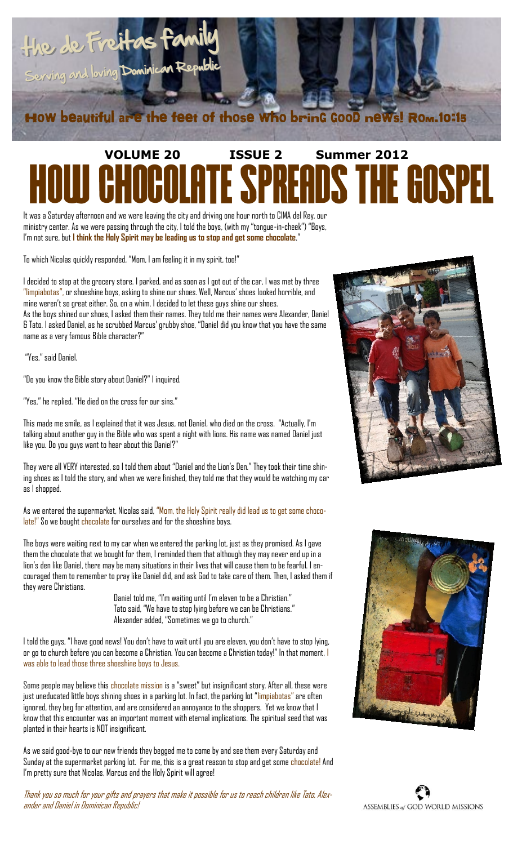

# **VOLUME 20 ISSUE 2 Summer 2012 OCOLATE SPREADS THE GOSPEL**

It was a Saturday afternoon and we were leaving the city and driving one hour north to CIMA del Rey, our ministry center. As we were passing through the city, I told the boys, (with my "tongue-in-cheek") "Boys, I'm not sure, but **I think the Holy Spirit may be leading us to stop and get some chocolate**."

To which Nicolas quickly responded, "Mom, I am feeling it in my spirit, too!"

I decided to stop at the grocery store. I parked, and as soon as I got out of the car, I was met by three "limpiabotas", or shoeshine boys, asking to shine our shoes. Well, Marcus' shoes looked horrible, and mine weren't so great either. So, on a whim, I decided to let these guys shine our shoes. As the boys shined our shoes, I asked them their names. They told me their names were Alexander, Daniel & Tato. I asked Daniel, as he scrubbed Marcus' grubby shoe, "Daniel did you know that you have the same name as a very famous Bible character?"

"Yes," said Daniel.

"Do you know the Bible story about Daniel?" I inquired.

"Yes," he replied. "He died on the cross for our sins."

This made me smile, as I explained that it was Jesus, not Daniel, who died on the cross. "Actually, I'm talking about another guy in the Bible who was spent a night with lions. His name was named Daniel just like you. Do you guys want to hear about this Daniel?"

They were all VERY interested, so I told them about "Daniel and the Lion's Den." They took their time shining shoes as I told the story, and when we were finished, they told me that they would be watching my car as I shopped.

As we entered the supermarket, Nicolas said, "Mom, the Holy Spirit really did lead us to get some chocolate!" So we bought chocolate for ourselves and for the shoeshine boys.

The boys were waiting next to my car when we entered the parking lot, just as they promised. As I gave them the chocolate that we bought for them, I reminded them that although they may never end up in a lion's den like Daniel, there may be many situations in their lives that will cause them to be fearful. I encouraged them to remember to pray like Daniel did, and ask God to take care of them. Then, I asked them if they were Christians.

> Daniel told me, "I'm waiting until I'm eleven to be a Christian." Tato said, "We have to stop lying before we can be Christians." Alexander added, "Sometimes we go to church."

I told the guys, "I have good news! You don't have to wait until you are eleven, you don't have to stop lying, or go to church before you can become a Christian. You can become a Christian today!" In that moment, I was able to lead those three shoeshine boys to Jesus.

Some people may believe this chocolate mission is a "sweet" but insignificant story. After all, these were just uneducated little boys shining shoes in a parking lot. In fact, the parking lot "limpiabotas" are often ignored, they beg for attention, and are considered an annoyance to the shoppers. Yet we know that I know that this encounter was an important moment with eternal implications. The spiritual seed that was planted in their hearts is NOT insignificant.

As we said good-bye to our new friends they begged me to come by and see them every Saturday and Sunday at the supermarket parking lot. For me, this is a great reason to stop and get some chocolate! And I'm pretty sure that Nicolas, Marcus and the Holy Spirit will agree!

Thank you so much for your gifts and prayers that make it possible for us to reach children like Tato, Alexander and Daniel in Dominican Republic!